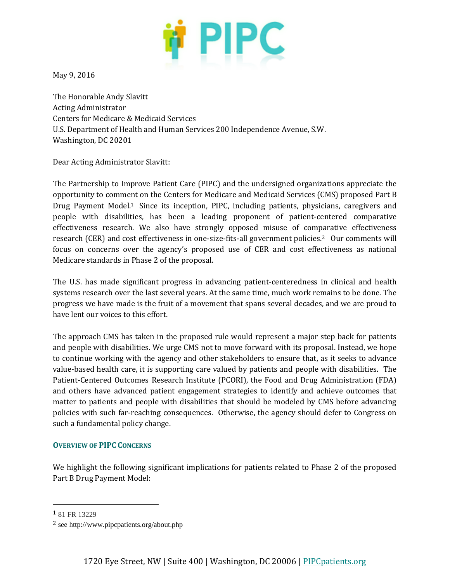

May 9, 2016

The Honorable Andy Slavitt Acting Administrator Centers for Medicare & Medicaid Services U.S. Department of Health and Human Services 200 Independence Avenue, S.W. Washington, DC 20201

Dear Acting Administrator Slavitt:

The Partnership to Improve Patient Care (PIPC) and the undersigned organizations appreciate the opportunity to comment on the Centers for Medicare and Medicaid Services (CMS) proposed Part B Drug Payment Model.1 Since its inception, PIPC, including patients, physicians, caregivers and people with disabilities, has been a leading proponent of patient-centered comparative effectiveness research. We also have strongly opposed misuse of comparative effectiveness research (CER) and cost effectiveness in one-size-fits-all government policies.2 Our comments will focus on concerns over the agency's proposed use of CER and cost effectiveness as national Medicare standards in Phase 2 of the proposal.

The U.S. has made significant progress in advancing patient-centeredness in clinical and health systems research over the last several years. At the same time, much work remains to be done. The progress we have made is the fruit of a movement that spans several decades, and we are proud to have lent our voices to this effort.

The approach CMS has taken in the proposed rule would represent a major step back for patients and people with disabilities. We urge CMS not to move forward with its proposal. Instead, we hope to continue working with the agency and other stakeholders to ensure that, as it seeks to advance value-based health care, it is supporting care valued by patients and people with disabilities. The Patient-Centered Outcomes Research Institute (PCORI), the Food and Drug Administration (FDA) and others have advanced patient engagement strategies to identify and achieve outcomes that matter to patients and people with disabilities that should be modeled by CMS before advancing policies with such far-reaching consequences. Otherwise, the agency should defer to Congress on such a fundamental policy change.

#### **OVERVIEW OF PIPC CONCERNS**

We highlight the following significant implications for patients related to Phase 2 of the proposed Part B Drug Payment Model:

 $\overline{a}$ 

<sup>1</sup> 81 FR 13229

<sup>2</sup> see http://www.pipcpatients.org/about.php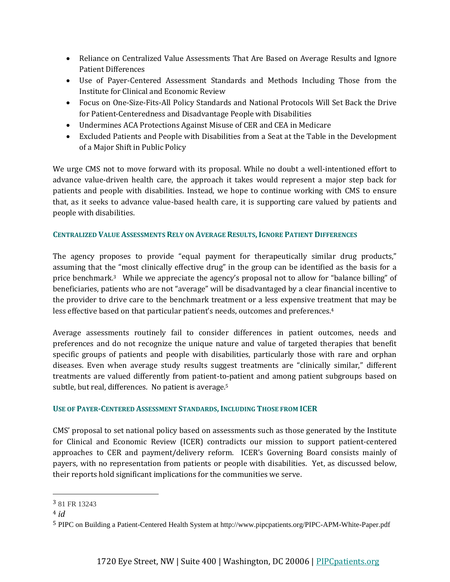- Reliance on Centralized Value Assessments That Are Based on Average Results and Ignore Patient Differences
- Use of Payer-Centered Assessment Standards and Methods Including Those from the Institute for Clinical and Economic Review
- Focus on One-Size-Fits-All Policy Standards and National Protocols Will Set Back the Drive for Patient-Centeredness and Disadvantage People with Disabilities
- Undermines ACA Protections Against Misuse of CER and CEA in Medicare
- Excluded Patients and People with Disabilities from a Seat at the Table in the Development of a Major Shift in Public Policy

We urge CMS not to move forward with its proposal. While no doubt a well-intentioned effort to advance value-driven health care, the approach it takes would represent a major step back for patients and people with disabilities. Instead, we hope to continue working with CMS to ensure that, as it seeks to advance value-based health care, it is supporting care valued by patients and people with disabilities.

# **CENTRALIZED VALUE ASSESSMENTS RELY ON AVERAGE RESULTS, IGNORE PATIENT DIFFERENCES**

The agency proposes to provide "equal payment for therapeutically similar drug products," assuming that the "most clinically effective drug" in the group can be identified as the basis for a price benchmark.<sup>3</sup> While we appreciate the agency's proposal not to allow for "balance billing" of beneficiaries, patients who are not "average" will be disadvantaged by a clear financial incentive to the provider to drive care to the benchmark treatment or a less expensive treatment that may be less effective based on that particular patient's needs, outcomes and preferences.<sup>4</sup>

Average assessments routinely fail to consider differences in patient outcomes, needs and preferences and do not recognize the unique nature and value of targeted therapies that benefit specific groups of patients and people with disabilities, particularly those with rare and orphan diseases. Even when average study results suggest treatments are "clinically similar," different treatments are valued differently from patient-to-patient and among patient subgroups based on subtle, but real, differences. No patient is average.<sup>5</sup>

## **USE OF PAYER-CENTERED ASSESSMENT STANDARDS, INCLUDING THOSE FROM ICER**

CMS' proposal to set national policy based on assessments such as those generated by the Institute for Clinical and Economic Review (ICER) contradicts our mission to support patient-centered approaches to CER and payment/delivery reform. ICER's Governing Board consists mainly of payers, with no representation from patients or people with disabilities. Yet, as discussed below, their reports hold significant implications for the communities we serve.

 $\overline{a}$ 

<sup>3</sup> 81 FR 13243

<sup>4</sup> *id*

<sup>5</sup> PIPC on Building a Patient-Centered Health System at http://www.pipcpatients.org/PIPC-APM-White-Paper.pdf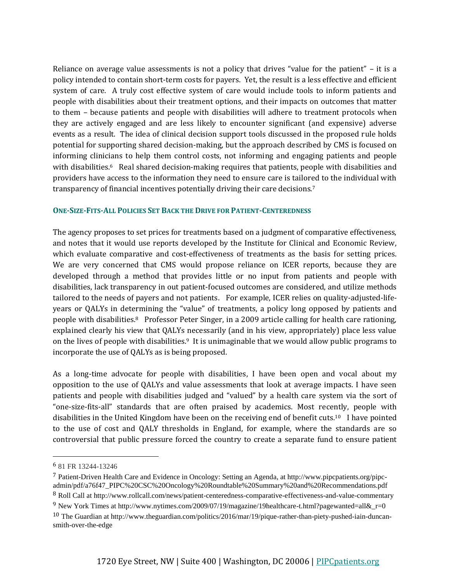Reliance on average value assessments is not a policy that drives "value for the patient" – it is a policy intended to contain short-term costs for payers. Yet, the result is a less effective and efficient system of care. A truly cost effective system of care would include tools to inform patients and people with disabilities about their treatment options, and their impacts on outcomes that matter to them – because patients and people with disabilities will adhere to treatment protocols when they are actively engaged and are less likely to encounter significant (and expensive) adverse events as a result. The idea of clinical decision support tools discussed in the proposed rule holds potential for supporting shared decision-making, but the approach described by CMS is focused on informing clinicians to help them control costs, not informing and engaging patients and people with disabilities.<sup>6</sup> Real shared decision-making requires that patients, people with disabilities and providers have access to the information they need to ensure care is tailored to the individual with transparency of financial incentives potentially driving their care decisions.<sup>7</sup>

#### **ONE-SIZE-FITS-ALL POLICIES SET BACK THE DRIVE FOR PATIENT-CENTEREDNESS**

The agency proposes to set prices for treatments based on a judgment of comparative effectiveness, and notes that it would use reports developed by the Institute for Clinical and Economic Review, which evaluate comparative and cost-effectiveness of treatments as the basis for setting prices. We are very concerned that CMS would propose reliance on ICER reports, because they are developed through a method that provides little or no input from patients and people with disabilities, lack transparency in out patient-focused outcomes are considered, and utilize methods tailored to the needs of payers and not patients. For example, ICER relies on quality-adjusted-lifeyears or QALYs in determining the "value" of treatments, a policy long opposed by patients and people with disabilities.8 Professor Peter Singer, in a 2009 article calling for health care rationing, explained clearly his view that QALYs necessarily (and in his view, appropriately) place less value on the lives of people with disabilities.<sup>9</sup> It is unimaginable that we would allow public programs to incorporate the use of QALYs as is being proposed.

As a long-time advocate for people with disabilities, I have been open and vocal about my opposition to the use of QALYs and value assessments that look at average impacts. I have seen patients and people with disabilities judged and "valued" by a health care system via the sort of "one-size-fits-all" standards that are often praised by academics. Most recently, people with disabilities in the United Kingdom have been on the receiving end of benefit cuts.10 I have pointed to the use of cost and QALY thresholds in England, for example, where the standards are so controversial that public pressure forced the country to create a separate fund to ensure patient

 $\overline{a}$ 

8 Roll Call at http://www.rollcall.com/news/patient-centeredness-comparative-effectiveness-and-value-commentary

<sup>6</sup> 81 FR 13244-13246

<sup>7</sup> Patient-Driven Health Care and Evidence in Oncology: Setting an Agenda, at http://www.pipcpatients.org/pipcadmin/pdf/a76f47\_PIPC%20CSC%20Oncology%20Roundtable%20Summary%20and%20Recommendations.pdf

<sup>9</sup> New York Times at http://www.nytimes.com/2009/07/19/magazine/19healthcare-t.html?pagewanted=all&\_r=0

<sup>10</sup> The Guardian at http://www.theguardian.com/politics/2016/mar/19/pique-rather-than-piety-pushed-iain-duncansmith-over-the-edge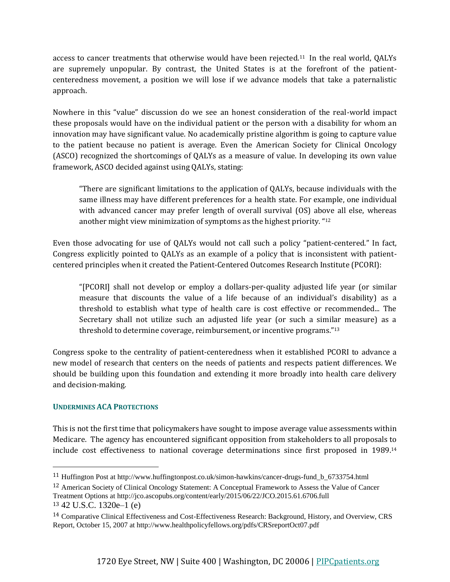access to cancer treatments that otherwise would have been rejected.11 In the real world, QALYs are supremely unpopular. By contrast, the United States is at the forefront of the patientcenteredness movement, a position we will lose if we advance models that take a paternalistic approach.

Nowhere in this "value" discussion do we see an honest consideration of the real-world impact these proposals would have on the individual patient or the person with a disability for whom an innovation may have significant value. No academically pristine algorithm is going to capture value to the patient because no patient is average. Even the American Society for Clinical Oncology (ASCO) recognized the shortcomings of QALYs as a measure of value. In developing its own value framework, ASCO decided against using QALYs, stating:

"There are significant limitations to the application of QALYs, because individuals with the same illness may have different preferences for a health state. For example, one individual with advanced cancer may prefer length of overall survival (OS) above all else, whereas another might view minimization of symptoms as the highest priority. " 12

Even those advocating for use of QALYs would not call such a policy "patient-centered." In fact, Congress explicitly pointed to QALYs as an example of a policy that is inconsistent with patientcentered principles when it created the Patient-Centered Outcomes Research Institute (PCORI):

"[PCORI] shall not develop or employ a dollars-per-quality adjusted life year (or similar measure that discounts the value of a life because of an individual's disability) as a threshold to establish what type of health care is cost effective or recommended... The Secretary shall not utilize such an adjusted life year (or such a similar measure) as a threshold to determine coverage, reimbursement, or incentive programs."<sup>13</sup>

Congress spoke to the centrality of patient-centeredness when it established PCORI to advance a new model of research that centers on the needs of patients and respects patient differences. We should be building upon this foundation and extending it more broadly into health care delivery and decision-making.

## **UNDERMINES ACA PROTECTIONS**

This is not the first time that policymakers have sought to impose average value assessments within Medicare. The agency has encountered significant opposition from stakeholders to all proposals to include cost effectiveness to national coverage determinations since first proposed in 1989.<sup>14</sup>

l

<sup>11</sup> Huffington Post at http://www.huffingtonpost.co.uk/simon-hawkins/cancer-drugs-fund\_b\_6733754.html

<sup>12</sup> American Society of Clinical Oncology Statement: A Conceptual Framework to Assess the Value of Cancer Treatment Options at http://jco.ascopubs.org/content/early/2015/06/22/JCO.2015.61.6706.full

<sup>13</sup> 42 U.S.C. 1320e–1 (e)

<sup>14</sup> Comparative Clinical Effectiveness and Cost-Effectiveness Research: Background, History, and Overview, CRS Report, October 15, 2007 at http://www.healthpolicyfellows.org/pdfs/CRSreportOct07.pdf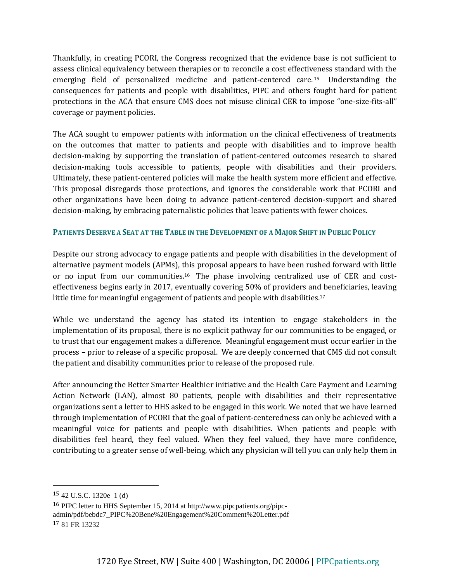Thankfully, in creating PCORI, the Congress recognized that the evidence base is not sufficient to assess clinical equivalency between therapies or to reconcile a cost effectiveness standard with the emerging field of personalized medicine and patient-centered care. <sup>15</sup> Understanding the consequences for patients and people with disabilities, PIPC and others fought hard for patient protections in the ACA that ensure CMS does not misuse clinical CER to impose "one-size-fits-all" coverage or payment policies.

The ACA sought to empower patients with information on the clinical effectiveness of treatments on the outcomes that matter to patients and people with disabilities and to improve health decision-making by supporting the translation of patient-centered outcomes research to shared decision-making tools accessible to patients, people with disabilities and their providers. Ultimately, these patient-centered policies will make the health system more efficient and effective. This proposal disregards those protections, and ignores the considerable work that PCORI and other organizations have been doing to advance patient-centered decision-support and shared decision-making, by embracing paternalistic policies that leave patients with fewer choices.

# **PATIENTS DESERVE A SEAT AT THE TABLE IN THE DEVELOPMENT OF A MAJOR SHIFT IN PUBLIC POLICY**

Despite our strong advocacy to engage patients and people with disabilities in the development of alternative payment models (APMs), this proposal appears to have been rushed forward with little or no input from our communities.16 The phase involving centralized use of CER and costeffectiveness begins early in 2017, eventually covering 50% of providers and beneficiaries, leaving little time for meaningful engagement of patients and people with disabilities.<sup>17</sup>

While we understand the agency has stated its intention to engage stakeholders in the implementation of its proposal, there is no explicit pathway for our communities to be engaged, or to trust that our engagement makes a difference. Meaningful engagement must occur earlier in the process – prior to release of a specific proposal. We are deeply concerned that CMS did not consult the patient and disability communities prior to release of the proposed rule.

After announcing the Better Smarter Healthier initiative and the Health Care Payment and Learning Action Network (LAN), almost 80 patients, people with disabilities and their representative organizations sent a letter to HHS asked to be engaged in this work. We noted that we have learned through implementation of PCORI that the goal of patient-centeredness can only be achieved with a meaningful voice for patients and people with disabilities. When patients and people with disabilities feel heard, they feel valued. When they feel valued, they have more confidence, contributing to a greater sense of well-being, which any physician will tell you can only help them in

l

 $15$  42 U.S.C. 1320e–1 (d)

<sup>16</sup> PIPC letter to HHS September 15, 2014 at http://www.pipcpatients.org/pipcadmin/pdf/bebdc7\_PIPC%20Bene%20Engagement%20Comment%20Letter.pdf 17 81 FR 13232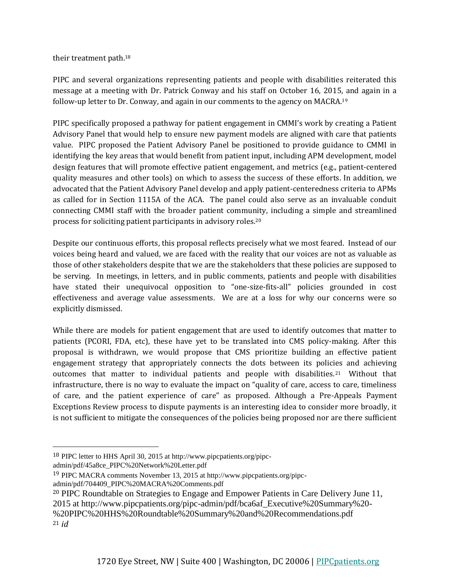their treatment path.<sup>18</sup>

PIPC and several organizations representing patients and people with disabilities reiterated this message at a meeting with Dr. Patrick Conway and his staff on October 16, 2015, and again in a follow-up letter to Dr. Conway, and again in our comments to the agency on MACRA.<sup>19</sup>

PIPC specifically proposed a pathway for patient engagement in CMMI's work by creating a Patient Advisory Panel that would help to ensure new payment models are aligned with care that patients value. PIPC proposed the Patient Advisory Panel be positioned to provide guidance to CMMI in identifying the key areas that would benefit from patient input, including APM development, model design features that will promote effective patient engagement, and metrics (e.g., patient-centered quality measures and other tools) on which to assess the success of these efforts. In addition, we advocated that the Patient Advisory Panel develop and apply patient-centeredness criteria to APMs as called for in Section 1115A of the ACA. The panel could also serve as an invaluable conduit connecting CMMI staff with the broader patient community, including a simple and streamlined process for soliciting patient participants in advisory roles.<sup>20</sup>

Despite our continuous efforts, this proposal reflects precisely what we most feared. Instead of our voices being heard and valued, we are faced with the reality that our voices are not as valuable as those of other stakeholders despite that we are the stakeholders that these policies are supposed to be serving. In meetings, in letters, and in public comments, patients and people with disabilities have stated their unequivocal opposition to "one-size-fits-all" policies grounded in cost effectiveness and average value assessments. We are at a loss for why our concerns were so explicitly dismissed.

While there are models for patient engagement that are used to identify outcomes that matter to patients (PCORI, FDA, etc), these have yet to be translated into CMS policy-making. After this proposal is withdrawn, we would propose that CMS prioritize building an effective patient engagement strategy that appropriately connects the dots between its policies and achieving outcomes that matter to individual patients and people with disabilities.21 Without that infrastructure, there is no way to evaluate the impact on "quality of care, access to care, timeliness of care, and the patient experience of care" as proposed. Although a Pre-Appeals Payment Exceptions Review process to dispute payments is an interesting idea to consider more broadly, it is not sufficient to mitigate the consequences of the policies being proposed nor are there sufficient

admin/pdf/45a8ce\_PIPC%20Network%20Letter.pdf

 $\overline{a}$ 

<sup>18</sup> PIPC letter to HHS April 30, 2015 at http://www.pipcpatients.org/pipc-

<sup>19</sup> PIPC MACRA comments November 13, 2015 at http://www.pipcpatients.org/pipc-

admin/pdf/704409\_PIPC%20MACRA%20Comments.pdf

<sup>20</sup> PIPC Roundtable on Strategies to Engage and Empower Patients in Care Delivery June 11,

<sup>2015</sup> at http://www.pipcpatients.org/pipc-admin/pdf/bca6af\_Executive%20Summary%20- %20PIPC%20HHS%20Roundtable%20Summary%20and%20Recommendations.pdf <sup>21</sup> *id*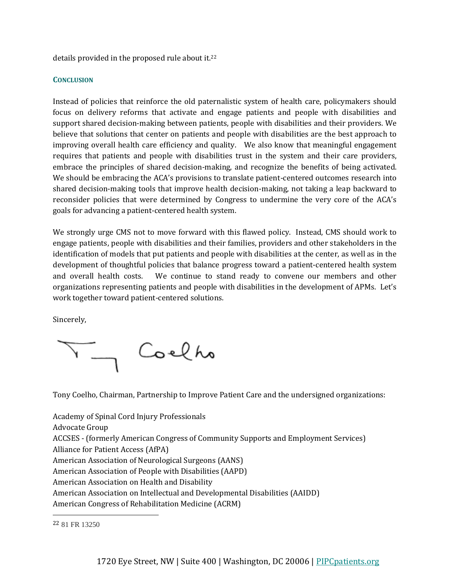details provided in the proposed rule about it.<sup>22</sup>

### **CONCLUSION**

Instead of policies that reinforce the old paternalistic system of health care, policymakers should focus on delivery reforms that activate and engage patients and people with disabilities and support shared decision-making between patients, people with disabilities and their providers. We believe that solutions that center on patients and people with disabilities are the best approach to improving overall health care efficiency and quality. We also know that meaningful engagement requires that patients and people with disabilities trust in the system and their care providers, embrace the principles of shared decision-making, and recognize the benefits of being activated. We should be embracing the ACA's provisions to translate patient-centered outcomes research into shared decision-making tools that improve health decision-making, not taking a leap backward to reconsider policies that were determined by Congress to undermine the very core of the ACA's goals for advancing a patient-centered health system.

We strongly urge CMS not to move forward with this flawed policy. Instead, CMS should work to engage patients, people with disabilities and their families, providers and other stakeholders in the identification of models that put patients and people with disabilities at the center, as well as in the development of thoughtful policies that balance progress toward a patient-centered health system and overall health costs. We continue to stand ready to convene our members and other organizations representing patients and people with disabilities in the development of APMs. Let's work together toward patient-centered solutions.

Sincerely,

Coelho

Tony Coelho, Chairman, Partnership to Improve Patient Care and the undersigned organizations:

Academy of Spinal Cord Injury Professionals Advocate Group ACCSES - (formerly American Congress of Community Supports and Employment Services) Alliance for Patient Access (AfPA) American Association of Neurological Surgeons (AANS) American Association of People with Disabilities (AAPD) American Association on Health and Disability American Association on Intellectual and Developmental Disabilities (AAIDD) American Congress of Rehabilitation Medicine (ACRM)

l

<sup>22</sup> 81 FR 13250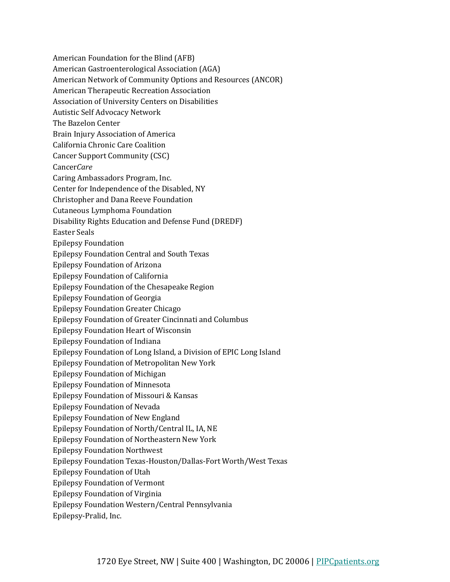American Foundation for the Blind (AFB) American Gastroenterological Association (AGA) American Network of Community Options and Resources (ANCOR) American Therapeutic Recreation Association Association of University Centers on Disabilities Autistic Self Advocacy Network The Bazelon Center Brain Injury Association of America California Chronic Care Coalition Cancer Support Community (CSC) Cancer*Care* Caring Ambassadors Program, Inc. Center for Independence of the Disabled, NY Christopher and Dana Reeve Foundation Cutaneous Lymphoma Foundation Disability Rights Education and Defense Fund (DREDF) Easter Seals Epilepsy Foundation Epilepsy Foundation Central and South Texas Epilepsy Foundation of Arizona Epilepsy Foundation of California Epilepsy Foundation of the Chesapeake Region Epilepsy Foundation of Georgia Epilepsy Foundation Greater Chicago Epilepsy Foundation of Greater Cincinnati and Columbus Epilepsy Foundation Heart of Wisconsin Epilepsy Foundation of Indiana Epilepsy Foundation of Long Island, a Division of EPIC Long Island Epilepsy Foundation of Metropolitan New York Epilepsy Foundation of Michigan Epilepsy Foundation of Minnesota Epilepsy Foundation of Missouri & Kansas Epilepsy Foundation of Nevada Epilepsy Foundation of New England Epilepsy Foundation of North/Central IL, IA, NE Epilepsy Foundation of Northeastern New York Epilepsy Foundation Northwest Epilepsy Foundation Texas-Houston/Dallas-Fort Worth/West Texas Epilepsy Foundation of Utah Epilepsy Foundation of Vermont Epilepsy Foundation of Virginia Epilepsy Foundation Western/Central Pennsylvania Epilepsy-Pralid, Inc.